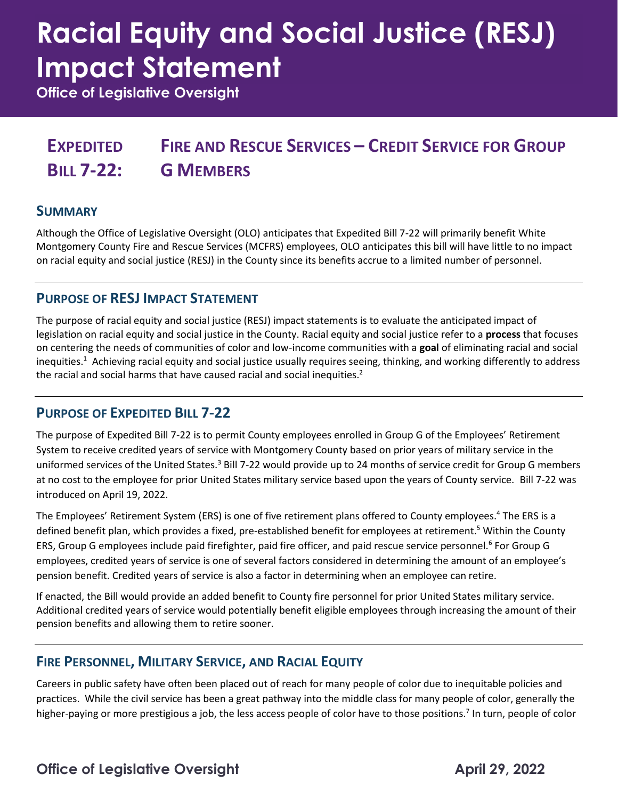# **Racial Equity and Social Justice (RESJ) Impact Statement**

**Office of Legislative Oversight**

#### **EXPEDITED BILL 7-22: FIRE AND RESCUE SERVICES – CREDIT SERVICE FOR GROUP G MEMBERS**

### **SUMMARY**

Although the Office of Legislative Oversight (OLO) anticipates that Expedited Bill 7-22 will primarily benefit White Montgomery County Fire and Rescue Services (MCFRS) employees, OLO anticipates this bill will have little to no impact on racial equity and social justice (RESJ) in the County since its benefits accrue to a limited number of personnel.

### **PURPOSE OF RESJ IMPACT STATEMENT**

The purpose of racial equity and social justice (RESJ) impact statements is to evaluate the anticipated impact of legislation on racial equity and social justice in the County. Racial equity and social justice refer to a **process** that focuses on centering the needs of communities of color and low-income communities with a **goal** of eliminating racial and social inequities.<sup>1</sup> Achieving racial equity and social justice usually requires seeing, thinking, and working differently to address the racial and social harms that have caused racial and social inequities.<sup>2</sup>

### **PURPOSE OF EXPEDITED BILL 7-22**

The purpose of Expedited Bill 7-22 is to permit County employees enrolled in Group G of the Employees' Retirement System to receive credited years of service with Montgomery County based on prior years of military service in the uniformed services of the United States.<sup>3</sup> Bill 7-22 would provide up to 24 months of service credit for Group G members at no cost to the employee for prior United States military service based upon the years of County service. Bill 7-22 was introduced on April 19, 2022.

The Employees' Retirement System (ERS) is one of five retirement plans offered to County employees.<sup>4</sup> The ERS is a defined benefit plan, which provides a fixed, pre-established benefit for employees at retirement.<sup>5</sup> Within the County ERS, Group G employees include paid firefighter, paid fire officer, and paid rescue service personnel.<sup>6</sup> For Group G employees, credited years of service is one of several factors considered in determining the amount of an employee's pension benefit. Credited years of service is also a factor in determining when an employee can retire.

If enacted, the Bill would provide an added benefit to County fire personnel for prior United States military service. Additional credited years of service would potentially benefit eligible employees through increasing the amount of their pension benefits and allowing them to retire sooner.

### **FIRE PERSONNEL, MILITARY SERVICE, AND RACIAL EQUITY**

Careers in public safety have often been placed out of reach for many people of color due to inequitable policies and practices. While the civil service has been a great pathway into the middle class for many people of color, generally the higher-paying or more prestigious a job, the less access people of color have to those positions.<sup>7</sup> In turn, people of color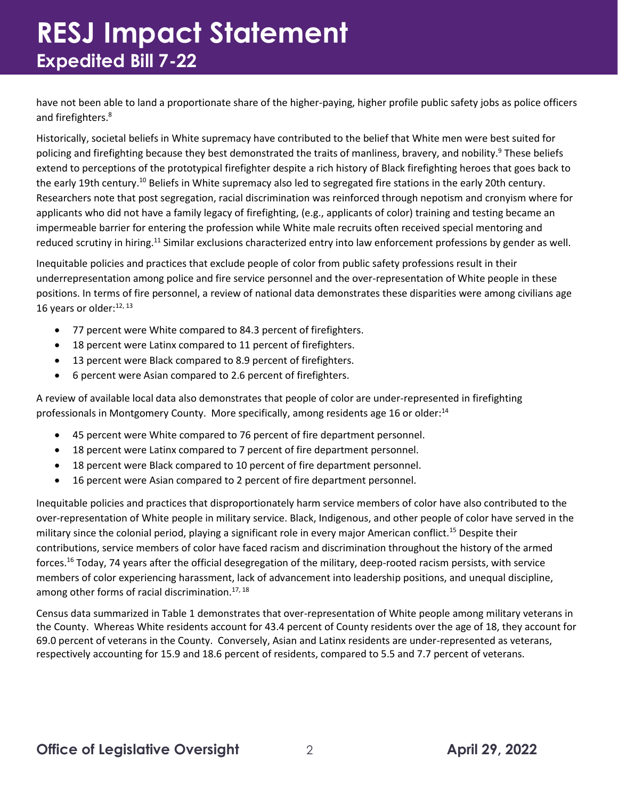# **RESJ Impact Statement Expedited Bill 7-22**

have not been able to land a proportionate share of the higher-paying, higher profile public safety jobs as police officers and firefighters.<sup>8</sup>

Historically, societal beliefs in White supremacy have contributed to the belief that White men were best suited for policing and firefighting because they best demonstrated the traits of manliness, bravery, and nobility.<sup>9</sup> These beliefs extend to perceptions of the prototypical firefighter despite a rich history of Black firefighting heroes that goes back to the early 19th century.<sup>10</sup> Beliefs in White supremacy also led to segregated fire stations in the early 20th century. Researchers note that post segregation, racial discrimination was reinforced through nepotism and cronyism where for applicants who did not have a family legacy of firefighting, (e.g., applicants of color) training and testing became an impermeable barrier for entering the profession while White male recruits often received special mentoring and reduced scrutiny in hiring.<sup>11</sup> Similar exclusions characterized entry into law enforcement professions by gender as well.

Inequitable policies and practices that exclude people of color from public safety professions result in their underrepresentation among police and fire service personnel and the over-representation of White people in these positions. In terms of fire personnel, a review of national data demonstrates these disparities were among civilians age 16 years or older: $^{12, 13}$ 

- 77 percent were White compared to 84.3 percent of firefighters.
- 18 percent were Latinx compared to 11 percent of firefighters.
- 13 percent were Black compared to 8.9 percent of firefighters.
- 6 percent were Asian compared to 2.6 percent of firefighters.

A review of available local data also demonstrates that people of color are under-represented in firefighting professionals in Montgomery County. More specifically, among residents age 16 or older:<sup>14</sup>

- 45 percent were White compared to 76 percent of fire department personnel.
- 18 percent were Latinx compared to 7 percent of fire department personnel.
- 18 percent were Black compared to 10 percent of fire department personnel.
- 16 percent were Asian compared to 2 percent of fire department personnel.

Inequitable policies and practices that disproportionately harm service members of color have also contributed to the over-representation of White people in military service. Black, Indigenous, and other people of color have served in the military since the colonial period, playing a significant role in every major American conflict.<sup>15</sup> Despite their contributions, service members of color have faced racism and discrimination throughout the history of the armed forces.<sup>16</sup> Today, 74 years after the official desegregation of the military, deep-rooted racism persists, with service members of color experiencing harassment, lack of advancement into leadership positions, and unequal discipline, among other forms of racial discrimination.<sup>17, 18</sup>

Census data summarized in Table 1 demonstrates that over-representation of White people among military veterans in the County. Whereas White residents account for 43.4 percent of County residents over the age of 18, they account for 69.0 percent of veterans in the County. Conversely, Asian and Latinx residents are under-represented as veterans, respectively accounting for 15.9 and 18.6 percent of residents, compared to 5.5 and 7.7 percent of veterans.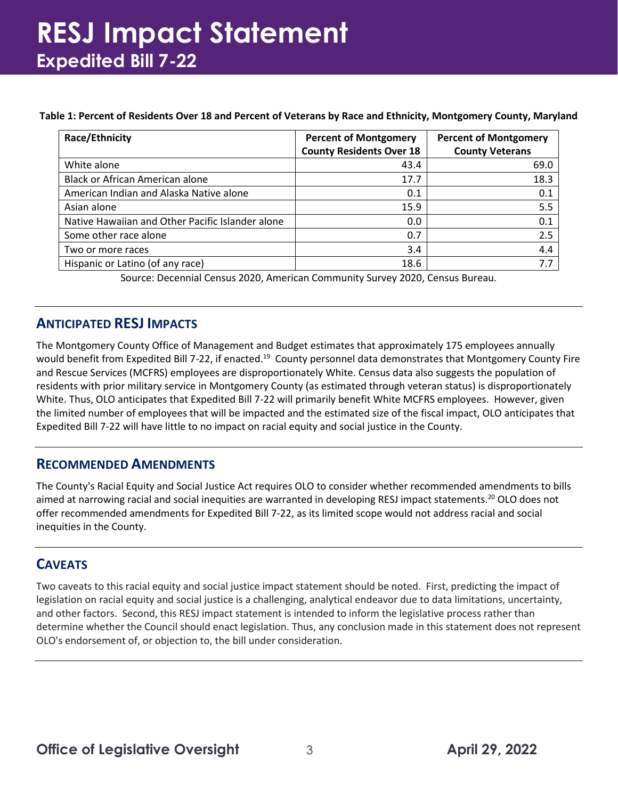# **RESJ Impact Statement Expedited Bill 7-22**

#### **Table 1: Percent of Residents Over 18 and Percent of Veterans by Race and Ethnicity, Montgomery County, Maryland**

| <b>Race/Ethnicity</b>                            | <b>Percent of Montgomery</b>    | <b>Percent of Montgomery</b> |
|--------------------------------------------------|---------------------------------|------------------------------|
|                                                  | <b>County Residents Over 18</b> | <b>County Veterans</b>       |
| White alone                                      | 43.4                            | 69.0                         |
| Black or African American alone                  | 17.7                            | 18.3                         |
| American Indian and Alaska Native alone          | 0.1                             | 0.1                          |
| Asian alone                                      | 15.9                            | 5.5                          |
| Native Hawaiian and Other Pacific Islander alone | 0.0                             | 0.1                          |
| Some other race alone                            | 0.7                             | 2.5                          |
| Two or more races                                | 3.4                             | 4.4                          |
| Hispanic or Latino (of any race)                 | 18.6                            | 7.7                          |

Source: Decennial Census 2020, American Community Survey 2020, Census Bureau.

### **ANTICIPATED RESJ IMPACTS**

The Montgomery County Office of Management and Budget estimates that approximately 175 employees annually would benefit from Expedited Bill 7-22, if enacted.<sup>19</sup> County personnel data demonstrates that Montgomery County Fire and Rescue Services (MCFRS) employees are disproportionately White. Census data also suggests the population of residents with prior military service in Montgomery County (as estimated through veteran status) is disproportionately White. Thus, OLO anticipates that Expedited Bill 7-22 will primarily benefit White MCFRS employees. However, given the limited number of employees that will be impacted and the estimated size of the fiscal impact, OLO anticipates that Expedited Bill 7-22 will have little to no impact on racial equity and social justice in the County.

### **RECOMMENDED AMENDMENTS**

The County's Racial Equity and Social Justice Act requires OLO to consider whether recommended amendments to bills aimed at narrowing racial and social inequities are warranted in developing RESJ impact statements.<sup>20</sup> OLO does not offer recommended amendments for Expedited Bill 7-22, as its limited scope would not address racial and social inequities in the County.

### **CAVEATS**

Two caveats to this racial equity and social justice impact statement should be noted. First, predicting the impact of legislation on racial equity and social justice is a challenging, analytical endeavor due to data limitations, uncertainty, and other factors. Second, this RESJ impact statement is intended to inform the legislative process rather than determine whether the Council should enact legislation. Thus, any conclusion made in this statement does not represent OLO's endorsement of, or objection to, the bill under consideration.